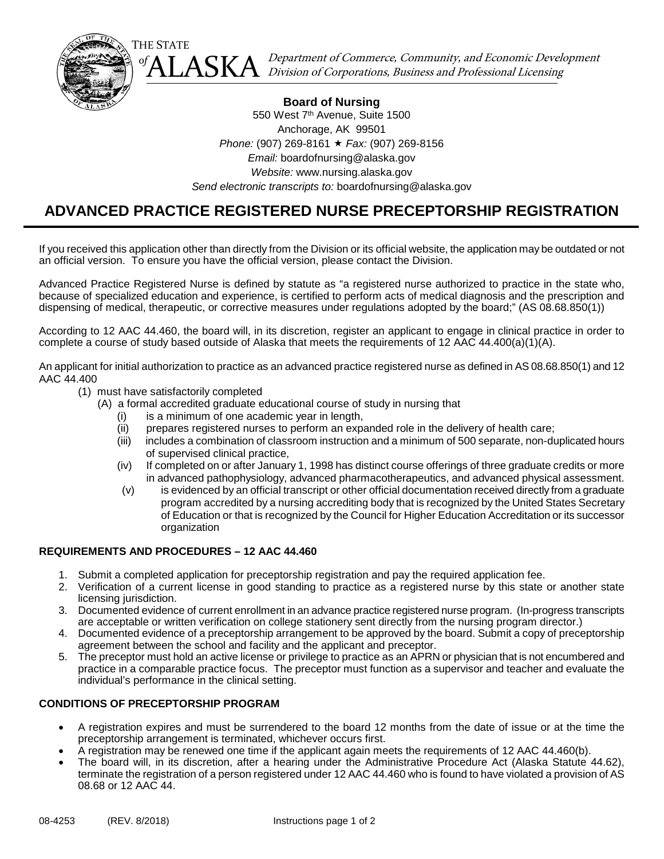

 $\left\{ \mathrm{ALASKA}\right\}$  Department of Commerce, Community, and Economic Development  $\mathrm{A}$ 

# **Board of Nursing** 550 West 7<sup>th</sup> Avenue, Suite 1500 Anchorage, AK 99501 *Phone:* (907) 269-8161 *Fax:* (907) 269-8156 *Email:* boardofnursing@alaska.gov *Website:* www.nursing.alaska.gov *Send electronic transcripts to:* boardofnursing@alaska.gov

İ

# **ADVANCED PRACTICE REGISTERED NURSE PRECEPTORSHIP REGISTRATION**

If you received this application other than directly from the Division or its official website, the application may be outdated or not an official version. To ensure you have the official version, please contact the Division.

Advanced Practice Registered Nurse is defined by statute as "a registered nurse authorized to practice in the state who, because of specialized education and experience, is certified to perform acts of medical diagnosis and the prescription and dispensing of medical, therapeutic, or corrective measures under regulations adopted by the board;" (AS 08.68.850(1))

According to 12 AAC 44.460, the board will, in its discretion, register an applicant to engage in clinical practice in order to complete a course of study based outside of Alaska that meets the requirements of 12 AAC 44.400(a)(1)(A).

An applicant for initial authorization to practice as an advanced practice registered nurse as defined in AS 08.68.850(1) and 12 AAC 44.400

- (1) must have satisfactorily completed
	- (A) a formal accredited graduate educational course of study in nursing that
		- (i) is a minimum of one academic year in length,
		- (ii) prepares registered nurses to perform an expanded role in the delivery of health care;
		- (iii) includes a combination of classroom instruction and a minimum of 500 separate, non-duplicated hours of supervised clinical practice,
		- (iv) If completed on or after January 1, 1998 has distinct course offerings of three graduate credits or more in advanced pathophysiology, advanced pharmacotherapeutics, and advanced physical assessment.
		- (v) is evidenced by an official transcript or other official documentation received directly from a graduate program accredited by a nursing accrediting body that is recognized by the United States Secretary of Education or that is recognized by the Council for Higher Education Accreditation or its successor organization

# **REQUIREMENTS AND PROCEDURES – 12 AAC 44.460**

- 1. Submit a completed application for preceptorship registration and pay the required application fee.
- 2. Verification of a current license in good standing to practice as a registered nurse by this state or another state licensing jurisdiction.
- 3. Documented evidence of current enrollment in an advance practice registered nurse program. (In-progress transcripts are acceptable or written verification on college stationery sent directly from the nursing program director.)
- 4. Documented evidence of a preceptorship arrangement to be approved by the board. Submit a copy of preceptorship agreement between the school and facility and the applicant and preceptor.
- 5. The preceptor must hold an active license or privilege to practice as an APRN or physician that is not encumbered and practice in a comparable practice focus. The preceptor must function as a supervisor and teacher and evaluate the individual's performance in the clinical setting.

# **CONDITIONS OF PRECEPTORSHIP PROGRAM**

- A registration expires and must be surrendered to the board 12 months from the date of issue or at the time the preceptorship arrangement is terminated, whichever occurs first.
- A registration may be renewed one time if the applicant again meets the requirements of 12 AAC 44.460(b).
- The board will, in its discretion, after a hearing under the Administrative Procedure Act (Alaska Statute 44.62), terminate the registration of a person registered under 12 AAC 44.460 who is found to have violated a provision of AS 08.68 or 12 AAC 44.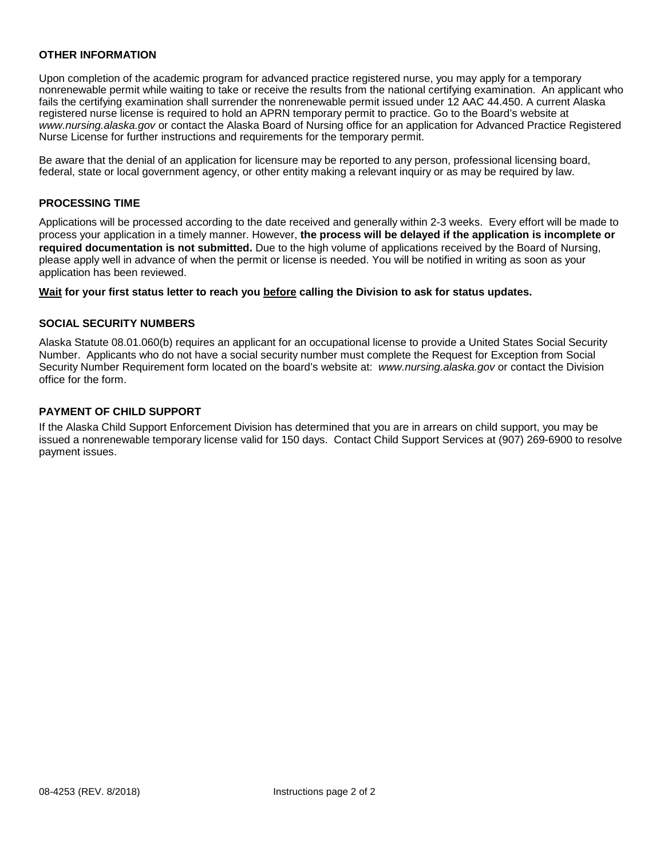#### **OTHER INFORMATION**

Upon completion of the academic program for advanced practice registered nurse, you may apply for a temporary nonrenewable permit while waiting to take or receive the results from the national certifying examination. An applicant who fails the certifying examination shall surrender the nonrenewable permit issued under 12 AAC 44.450. A current Alaska registered nurse license is required to hold an APRN temporary permit to practice. Go to the Board's website at *www.nursing.alaska.gov* or contact the Alaska Board of Nursing office for an application for Advanced Practice Registered Nurse License for further instructions and requirements for the temporary permit.

Be aware that the denial of an application for licensure may be reported to any person, professional licensing board, federal, state or local government agency, or other entity making a relevant inquiry or as may be required by law.

## **PROCESSING TIME**

Applications will be processed according to the date received and generally within 2-3 weeks. Every effort will be made to process your application in a timely manner. However, **the process will be delayed if the application is incomplete or required documentation is not submitted.** Due to the high volume of applications received by the Board of Nursing, please apply well in advance of when the permit or license is needed. You will be notified in writing as soon as your application has been reviewed.

#### **Wait for your first status letter to reach you before calling the Division to ask for status updates.**

## **SOCIAL SECURITY NUMBERS**

Alaska Statute 08.01.060(b) requires an applicant for an occupational license to provide a United States Social Security Number. Applicants who do not have a social security number must complete the Request for Exception from Social Security Number Requirement form located on the board's website at: *www.nursing.alaska.gov* or contact the Division office for the form.

## **PAYMENT OF CHILD SUPPORT**

If the Alaska Child Support Enforcement Division has determined that you are in arrears on child support, you may be issued a nonrenewable temporary license valid for 150 days. Contact Child Support Services at (907) 269-6900 to resolve payment issues.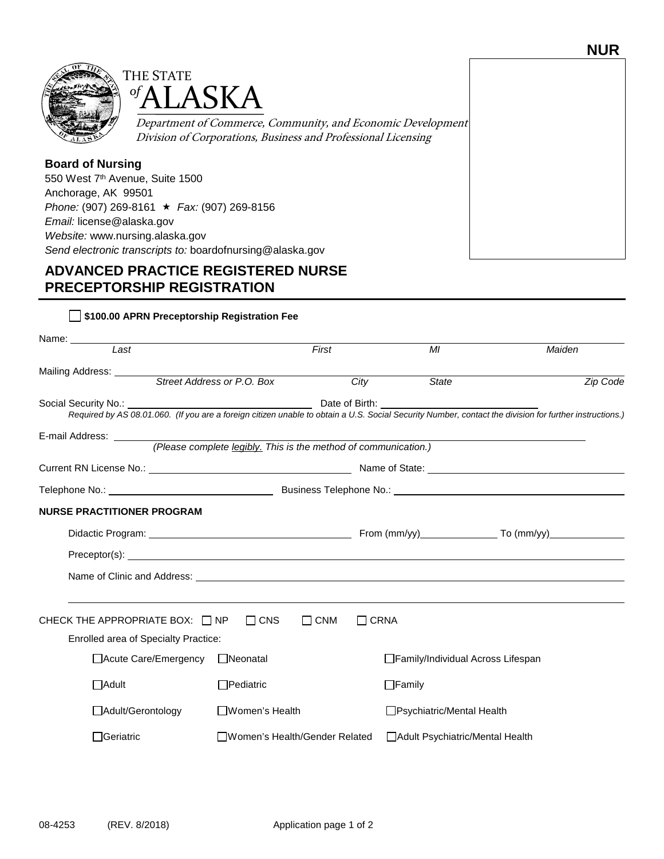



Department of Commerce, Community, and Economic Development Division of Corporations, Business and Professional Licensing

# **Board of Nursing**

550 West 7th Avenue, Suite 1500 Anchorage, AK 99501 *Phone:* (907) 269-8161 *Fax:* (907) 269-8156 *Email:* license@alaska.gov *Website:* www.nursing.alaska.gov *Send electronic transcripts to:* boardofnursing@alaska.gov

# **ADVANCED PRACTICE REGISTERED NURSE PRECEPTORSHIP REGISTRATION**

| Name: ______________<br>$\overline{last}$                      |                        |                       | First                         | MI                                | Maiden                                                                                                                                                          |          |
|----------------------------------------------------------------|------------------------|-----------------------|-------------------------------|-----------------------------------|-----------------------------------------------------------------------------------------------------------------------------------------------------------------|----------|
|                                                                |                        |                       |                               |                                   |                                                                                                                                                                 |          |
| Mailing Address: <u>Constantine Street Address or P.O. Box</u> |                        |                       | $\overline{City}$             | <b>State</b>                      |                                                                                                                                                                 | Zip Code |
|                                                                |                        |                       |                               |                                   |                                                                                                                                                                 |          |
|                                                                |                        |                       |                               |                                   | Social Security No.: 1998.01.060. (If you are a foreign citizen unable to obtain a U.S. Social Security Number, contact the division for further instructions.) |          |
|                                                                |                        |                       |                               |                                   |                                                                                                                                                                 |          |
|                                                                |                        |                       |                               |                                   |                                                                                                                                                                 |          |
|                                                                |                        |                       |                               |                                   |                                                                                                                                                                 |          |
|                                                                |                        |                       |                               |                                   |                                                                                                                                                                 |          |
| <b>NURSE PRACTITIONER PROGRAM</b>                              |                        |                       |                               |                                   |                                                                                                                                                                 |          |
|                                                                |                        |                       |                               |                                   |                                                                                                                                                                 |          |
|                                                                |                        |                       |                               |                                   |                                                                                                                                                                 |          |
|                                                                |                        |                       |                               |                                   |                                                                                                                                                                 |          |
|                                                                |                        |                       |                               |                                   |                                                                                                                                                                 |          |
| CHECK THE APPROPRIATE BOX: $\Box$ NP $\Box$ CNS                |                        |                       | $\Box$ CNM<br>$\Box$ CRNA     |                                   |                                                                                                                                                                 |          |
| <b>Enrolled area of Specialty Practice:</b>                    |                        |                       |                               |                                   |                                                                                                                                                                 |          |
|                                                                | □ Acute Care/Emergency | □Neonatal             |                               | Family/Individual Across Lifespan |                                                                                                                                                                 |          |
| $\Box$ Adult                                                   |                        | $\Box$ Pediatric      |                               | $\Box$ Family                     |                                                                                                                                                                 |          |
| □ Adult/Gerontology                                            |                        | $\Box$ Women's Health |                               | □Psychiatric/Mental Health        |                                                                                                                                                                 |          |
| $\Box$ Geriatric                                               |                        |                       | Women's Health/Gender Related | □ Adult Psychiatric/Mental Health |                                                                                                                                                                 |          |